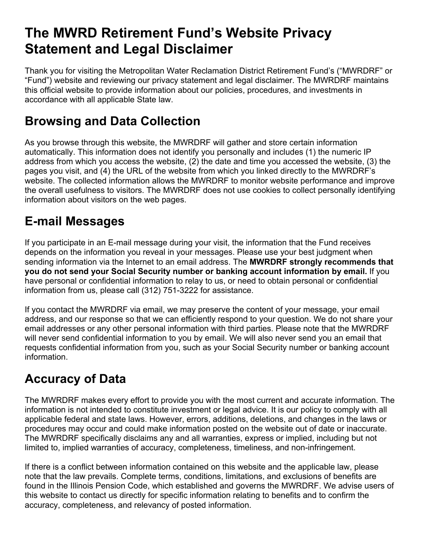# **The MWRD Retirement Fund's Website Privacy Statement and Legal Disclaimer**

Thank you for visiting the Metropolitan Water Reclamation District Retirement Fund's ("MWRDRF" or "Fund") website and reviewing our privacy statement and legal disclaimer. The MWRDRF maintains this official website to provide information about our policies, procedures, and investments in accordance with all applicable State law.

#### **Browsing and Data Collection**

As you browse through this website, the MWRDRF will gather and store certain information automatically. This information does not identify you personally and includes (1) the numeric IP address from which you access the website, (2) the date and time you accessed the website, (3) the pages you visit, and (4) the URL of the website from which you linked directly to the MWRDRF's website. The collected information allows the MWRDRF to monitor website performance and improve the overall usefulness to visitors. The MWRDRF does not use cookies to collect personally identifying information about visitors on the web pages.

### **E-mail Messages**

If you participate in an E-mail message during your visit, the information that the Fund receives depends on the information you reveal in your messages. Please use your best judgment when sending information via the Internet to an email address. The **MWRDRF strongly recommends that you do not send your Social Security number or banking account information by email.** If you have personal or confidential information to relay to us, or need to obtain personal or confidential information from us, please call (312) 751-3222 for assistance.

If you contact the MWRDRF via email, we may preserve the content of your message, your email address, and our response so that we can efficiently respond to your question. We do not share your email addresses or any other personal information with third parties. Please note that the MWRDRF will never send confidential information to you by email. We will also never send you an email that requests confidential information from you, such as your Social Security number or banking account information.

### **Accuracy of Data**

The MWRDRF makes every effort to provide you with the most current and accurate information. The information is not intended to constitute investment or legal advice. It is our policy to comply with all applicable federal and state laws. However, errors, additions, deletions, and changes in the laws or procedures may occur and could make information posted on the website out of date or inaccurate. The MWRDRF specifically disclaims any and all warranties, express or implied, including but not limited to, implied warranties of accuracy, completeness, timeliness, and non-infringement.

If there is a conflict between information contained on this website and the applicable law, please note that the law prevails. Complete terms, conditions, limitations, and exclusions of benefits are found in the Illinois Pension Code, which established and governs the MWRDRF. We advise users of this website to contact us directly for specific information relating to benefits and to confirm the accuracy, completeness, and relevancy of posted information.